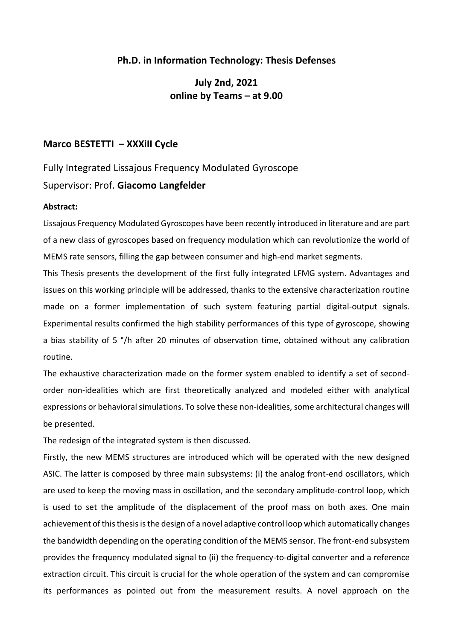## **Ph.D. in Information Technology: Thesis Defenses**

**July 2nd, 2021 online by Teams – at 9.00**

### **Marco BESTETTI – XXXiII Cycle**

# Fully Integrated Lissajous Frequency Modulated Gyroscope Supervisor: Prof. **Giacomo Langfelder**

### **Abstract:**

Lissajous Frequency Modulated Gyroscopes have been recently introduced in literature and are part of a new class of gyroscopes based on frequency modulation which can revolutionize the world of MEMS rate sensors, filling the gap between consumer and high-end market segments.

This Thesis presents the development of the first fully integrated LFMG system. Advantages and issues on this working principle will be addressed, thanks to the extensive characterization routine made on a former implementation of such system featuring partial digital-output signals. Experimental results confirmed the high stability performances of this type of gyroscope, showing a bias stability of 5 °/h after 20 minutes of observation time, obtained without any calibration routine.

The exhaustive characterization made on the former system enabled to identify a set of secondorder non-idealities which are first theoretically analyzed and modeled either with analytical expressions or behavioral simulations. To solve these non-idealities, some architectural changes will be presented.

The redesign of the integrated system is then discussed.

Firstly, the new MEMS structures are introduced which will be operated with the new designed ASIC. The latter is composed by three main subsystems: (i) the analog front-end oscillators, which are used to keep the moving mass in oscillation, and the secondary amplitude-control loop, which is used to set the amplitude of the displacement of the proof mass on both axes. One main achievement of this thesis is the design of a novel adaptive control loop which automatically changes the bandwidth depending on the operating condition of the MEMS sensor. The front-end subsystem provides the frequency modulated signal to (ii) the frequency-to-digital converter and a reference extraction circuit. This circuit is crucial for the whole operation of the system and can compromise its performances as pointed out from the measurement results. A novel approach on the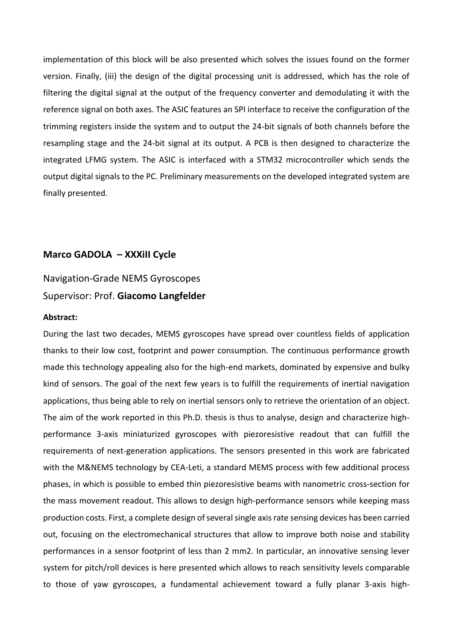implementation of this block will be also presented which solves the issues found on the former version. Finally, (iii) the design of the digital processing unit is addressed, which has the role of filtering the digital signal at the output of the frequency converter and demodulating it with the reference signal on both axes. The ASIC features an SPI interface to receive the configuration of the trimming registers inside the system and to output the 24-bit signals of both channels before the resampling stage and the 24-bit signal at its output. A PCB is then designed to characterize the integrated LFMG system. The ASIC is interfaced with a STM32 microcontroller which sends the output digital signals to the PC. Preliminary measurements on the developed integrated system are finally presented.

## **Marco GADOLA – XXXiII Cycle**

# Navigation-Grade NEMS Gyroscopes Supervisor: Prof. **Giacomo Langfelder**

#### **Abstract:**

During the last two decades, MEMS gyroscopes have spread over countless fields of application thanks to their low cost, footprint and power consumption. The continuous performance growth made this technology appealing also for the high-end markets, dominated by expensive and bulky kind of sensors. The goal of the next few years is to fulfill the requirements of inertial navigation applications, thus being able to rely on inertial sensors only to retrieve the orientation of an object. The aim of the work reported in this Ph.D. thesis is thus to analyse, design and characterize highperformance 3-axis miniaturized gyroscopes with piezoresistive readout that can fulfill the requirements of next-generation applications. The sensors presented in this work are fabricated with the M&NEMS technology by CEA-Leti, a standard MEMS process with few additional process phases, in which is possible to embed thin piezoresistive beams with nanometric cross-section for the mass movement readout. This allows to design high-performance sensors while keeping mass production costs. First, a complete design of several single axis rate sensing devices has been carried out, focusing on the electromechanical structures that allow to improve both noise and stability performances in a sensor footprint of less than 2 mm2. In particular, an innovative sensing lever system for pitch/roll devices is here presented which allows to reach sensitivity levels comparable to those of yaw gyroscopes, a fundamental achievement toward a fully planar 3-axis high